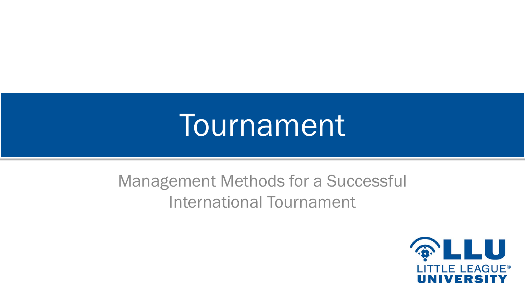# **Tournament**

#### Management Methods for a Successful International Tournament

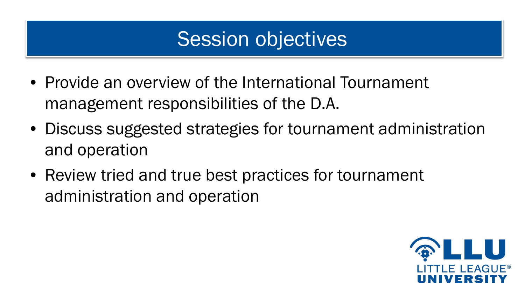# Session objectives

- Provide an overview of the International Tournament management responsibilities of the D.A.
- Discuss suggested strategies for tournament administration and operation
- Review tried and true best practices for tournament administration and operation

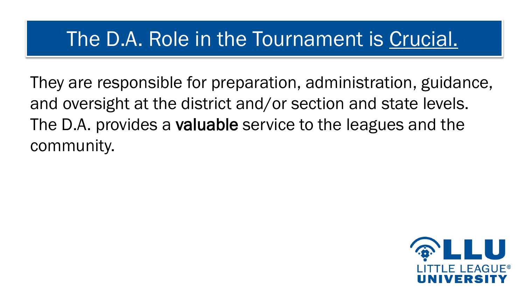# The D.A. Role in the Tournament is Crucial.

They are responsible for preparation, administration, guidance, and oversight at the district and/or section and state levels. The D.A. provides a valuable service to the leagues and the community.

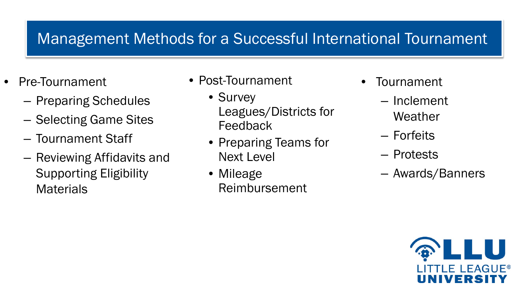#### Management Methods for a Successful International Tournament

- Pre-Tournament
	- Preparing Schedules
	- Selecting Game Sites
	- Tournament Staff
	- Reviewing Affidavits and Supporting Eligibility **Materials**
- Post-Tournament
	- Survey Leagues/Districts for **Feedback**
	- Preparing Teams for Next Level
	- Mileage Reimbursement
- **Tournament** 
	- Inclement Weather
	- Forfeits
	- Protests
	- Awards/Banners

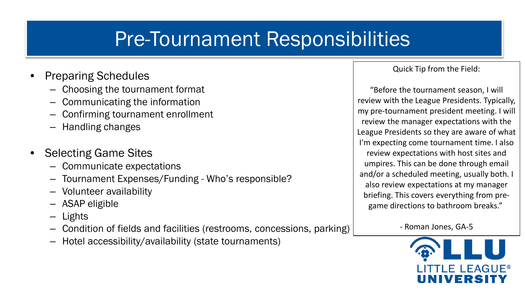# Pre-Tournament Responsibilities

- Preparing Schedules
	- Choosing the tournament format
	- Communicating the information
	- Confirming tournament enrollment
	- Handling changes
- Selecting Game Sites
	- Communicate expectations
	- Tournament Expenses/Funding Who's responsible?
	- Volunteer availability
	- ASAP eligible
	- Lights
	- Condition of fields and facilities (restrooms, concessions, parking)
	- Hotel accessibility/availability (state tournaments)

Quick Tip from the Field:

"Before the tournament season, I will review with the League Presidents. Typically, my pre-tournament president meeting. I will review the manager expectations with the League Presidents so they are aware of what I'm expecting come tournament time. I also review expectations with host sites and umpires. This can be done through email and/or a scheduled meeting, usually both. I also review expectations at my manager briefing. This covers everything from pregame directions to bathroom breaks."

- Roman Jones, GA-5

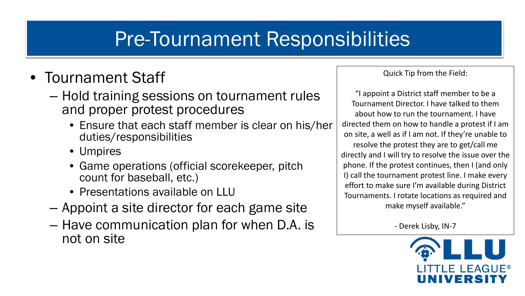# Pre-Tournament Responsibilities

#### • Tournament Staff

- Hold training sessions on tournament rules and proper protest procedures
	- Ensure that each staff member is clear on his/her duties/responsibilities
	- Umpires
	- Game operations (official scorekeeper, pitch count for baseball, etc.)
	- Presentations available on LLU
- Appoint a site director for each game site
- Have communication plan for when D.A. is not on site

Quick Tip from the Field:

"I appoint a District staff member to be a Tournament Director. I have talked to them about how to run the tournament. I have directed them on how to handle a protest if I am on site, a well as if I am not. If they're unable to resolve the protest they are to get/call me directly and I will try to resolve the issue over the phone. If the protest continues, then I (and only I) call the tournament protest line. I make every effort to make sure I'm available during District Tournaments. I rotate locations as required and make myself available."

- Derek Lisby, IN-7

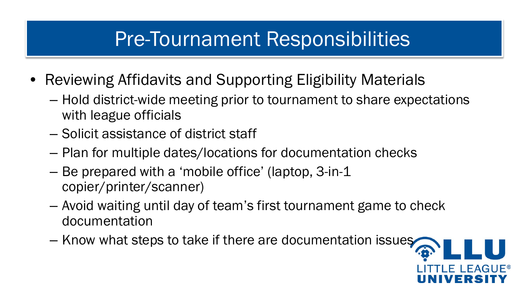# Pre-Tournament Responsibilities

- Reviewing Affidavits and Supporting Eligibility Materials
	- Hold district-wide meeting prior to tournament to share expectations with league officials
	- Solicit assistance of district staff
	- Plan for multiple dates/locations for documentation checks
	- Be prepared with a 'mobile office' (laptop, 3-in-1 copier/printer/scanner)
	- Avoid waiting until day of team's first tournament game to check documentation
	- Know what steps to take if there are documentation issues

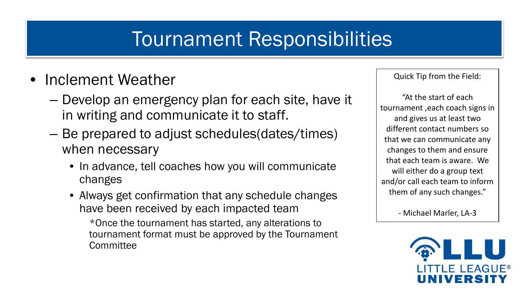# Tournament Responsibilities

- Inclement Weather
	- Develop an emergency plan for each site, have it in writing and communicate it to staff.
	- Be prepared to adjust schedules(dates/times) when necessary
		- In advance, tell coaches how you will communicate changes
		- Always get confirmation that any schedule changes have been received by each impacted team

\*Once the tournament has started, any alterations to tournament format must be approved by the Tournament **Committee** 

Quick Tip from the Field:

"At the start of each tournament ,each coach signs in and gives us at least two different contact numbers so that we can communicate any changes to them and ensure that each team is aware. We will either do a group text and/or call each team to inform them of any such changes."

- Michael Marler, LA-3

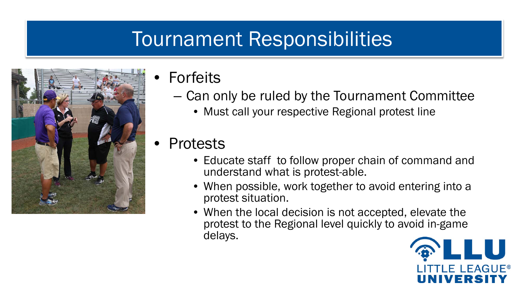### Tournament Responsibilities



- **Forfeits** 
	- Can only be ruled by the Tournament Committee
		- Must call your respective Regional protest line
- **Protests** 
	- Educate staff to follow proper chain of command and understand what is protest-able.
	- When possible, work together to avoid entering into a protest situation.
	- When the local decision is not accepted, elevate the protest to the Regional level quickly to avoid in-game delays.

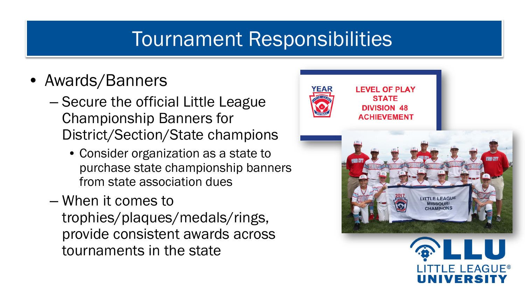### Tournament Responsibilities

- Awards/Banners
	- Secure the official Little League Championship Banners for District/Section/State champions
		- Consider organization as a state to purchase state championship banners from state association dues
	- When it comes to trophies/plaques/medals/rings, provide consistent awards across tournaments in the state

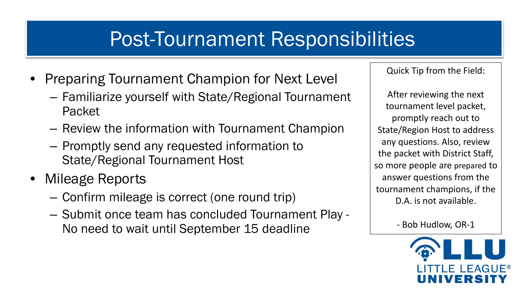# Post-Tournament Responsibilities

- **Preparing Tournament Champion for Next Level** 
	- Familiarize yourself with State/Regional Tournament Packet
	- Review the information with Tournament Champion
	- Promptly send any requested information to State/Regional Tournament Host
- Mileage Reports
	- Confirm mileage is correct (one round trip)
	- Submit once team has concluded Tournament Play No need to wait until September 15 deadline

Quick Tip from the Field:

After reviewing the next tournament level packet, promptly reach out to State/Region Host to address any questions. Also, review the packet with District Staff, so more people are prepared to answer questions from the tournament champions, if the D.A. is not available.

- Bob Hudlow, OR-1